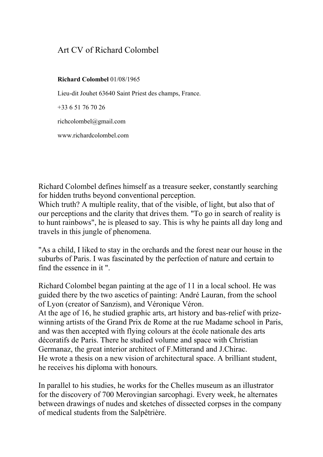## Art CV of Richard Colombel

## Richard Colombel 01/08/1965

Lieu-dit Jouhet 63640 Saint Priest des champs, France.

+33 6 51 76 70 26

richcolombel@gmail.com

www.richardcolombel.com

Richard Colombel defines himself as a treasure seeker, constantly searching for hidden truths beyond conventional perception.

Which truth? A multiple reality, that of the visible, of light, but also that of our perceptions and the clarity that drives them. "To go in search of reality is to hunt rainbows", he is pleased to say. This is why he paints all day long and travels in this jungle of phenomena.

"As a child, I liked to stay in the orchards and the forest near our house in the suburbs of Paris. I was fascinated by the perfection of nature and certain to find the essence in it ".

Richard Colombel began painting at the age of 11 in a local school. He was guided there by the two ascetics of painting: André Lauran, from the school of Lyon (creator of Sanzism), and Véronique Véron. At the age of 16, he studied graphic arts, art history and bas-relief with prizewinning artists of the Grand Prix de Rome at the rue Madame school in Paris, and was then accepted with flying colours at the école nationale des arts décoratifs de Paris. There he studied volume and space with Christian Germanaz, the great interior architect of F.Mitterand and J.Chirac. He wrote a thesis on a new vision of architectural space. A brilliant student, he receives his diploma with honours.

In parallel to his studies, he works for the Chelles museum as an illustrator for the discovery of 700 Merovingian sarcophagi. Every week, he alternates between drawings of nudes and sketches of dissected corpses in the company of medical students from the Salpêtrière.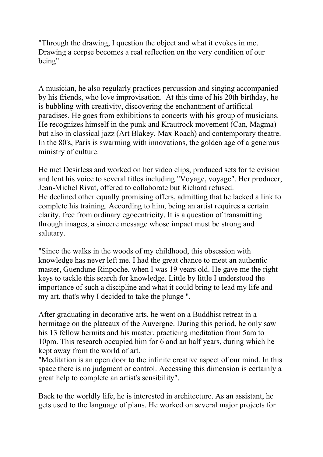"Through the drawing, I question the object and what it evokes in me. Drawing a corpse becomes a real reflection on the very condition of our being".

A musician, he also regularly practices percussion and singing accompanied by his friends, who love improvisation. At this time of his 20th birthday, he is bubbling with creativity, discovering the enchantment of artificial paradises. He goes from exhibitions to concerts with his group of musicians. He recognizes himself in the punk and Krautrock movement (Can, Magma) but also in classical jazz (Art Blakey, Max Roach) and contemporary theatre. In the 80's, Paris is swarming with innovations, the golden age of a generous ministry of culture.

He met Desirless and worked on her video clips, produced sets for television and lent his voice to several titles including "Voyage, voyage". Her producer, Jean-Michel Rivat, offered to collaborate but Richard refused. He declined other equally promising offers, admitting that he lacked a link to complete his training. According to him, being an artist requires a certain clarity, free from ordinary egocentricity. It is a question of transmitting through images, a sincere message whose impact must be strong and salutary.

"Since the walks in the woods of my childhood, this obsession with knowledge has never left me. I had the great chance to meet an authentic master, Guendune Rinpoche, when I was 19 years old. He gave me the right keys to tackle this search for knowledge. Little by little I understood the importance of such a discipline and what it could bring to lead my life and my art, that's why I decided to take the plunge ".

After graduating in decorative arts, he went on a Buddhist retreat in a hermitage on the plateaux of the Auvergne. During this period, he only saw his 13 fellow hermits and his master, practicing meditation from 5am to 10pm. This research occupied him for 6 and an half years, during which he kept away from the world of art.

"Meditation is an open door to the infinite creative aspect of our mind. In this space there is no judgment or control. Accessing this dimension is certainly a great help to complete an artist's sensibility".

Back to the worldly life, he is interested in architecture. As an assistant, he gets used to the language of plans. He worked on several major projects for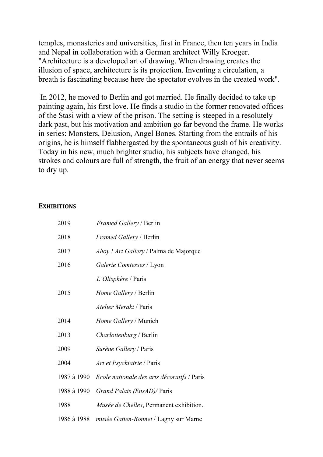temples, monasteries and universities, first in France, then ten years in India and Nepal in collaboration with a German architect Willy Kroeger. "Architecture is a developed art of drawing. When drawing creates the illusion of space, architecture is its projection. Inventing a circulation, a breath is fascinating because here the spectator evolves in the created work".

 In 2012, he moved to Berlin and got married. He finally decided to take up painting again, his first love. He finds a studio in the former renovated offices of the Stasi with a view of the prison. The setting is steeped in a resolutely dark past, but his motivation and ambition go far beyond the frame. He works in series: Monsters, Delusion, Angel Bones. Starting from the entrails of his origins, he is himself flabbergasted by the spontaneous gush of his creativity. Today in his new, much brighter studio, his subjects have changed, his strokes and colours are full of strength, the fruit of an energy that never seems to dry up.

## **EXHIBITIONS**

| 2019        | <i>Framed Gallery</i> / Berlin              |
|-------------|---------------------------------------------|
| 2018        | <i>Framed Gallery</i> / Berlin              |
| 2017        | Ahoy ! Art Gallery / Palma de Majorque      |
| 2016        | Galerie Comtesses / Lyon                    |
|             | L'Olisphère / Paris                         |
| 2015        | <i>Home Gallery</i> / Berlin                |
|             | <i>Atelier Meraki</i> / Paris               |
| 2014        | Home Gallery / Munich                       |
| 2013        | <i>Charlottenburg</i> / Berlin              |
| 2009        | Surène Gallery / Paris                      |
| 2004        | <i>Art et Psychiatrie</i> / Paris           |
| 1987 à 1990 | Ecole nationale des arts décoratifs / Paris |
| 1988 à 1990 | Grand Palais (EnsAD)/ Paris                 |
| 1988        | Musée de Chelles, Permanent exhibition.     |
| 1986 à 1988 | musée Gatien-Bonnet / Lagny sur Marne       |